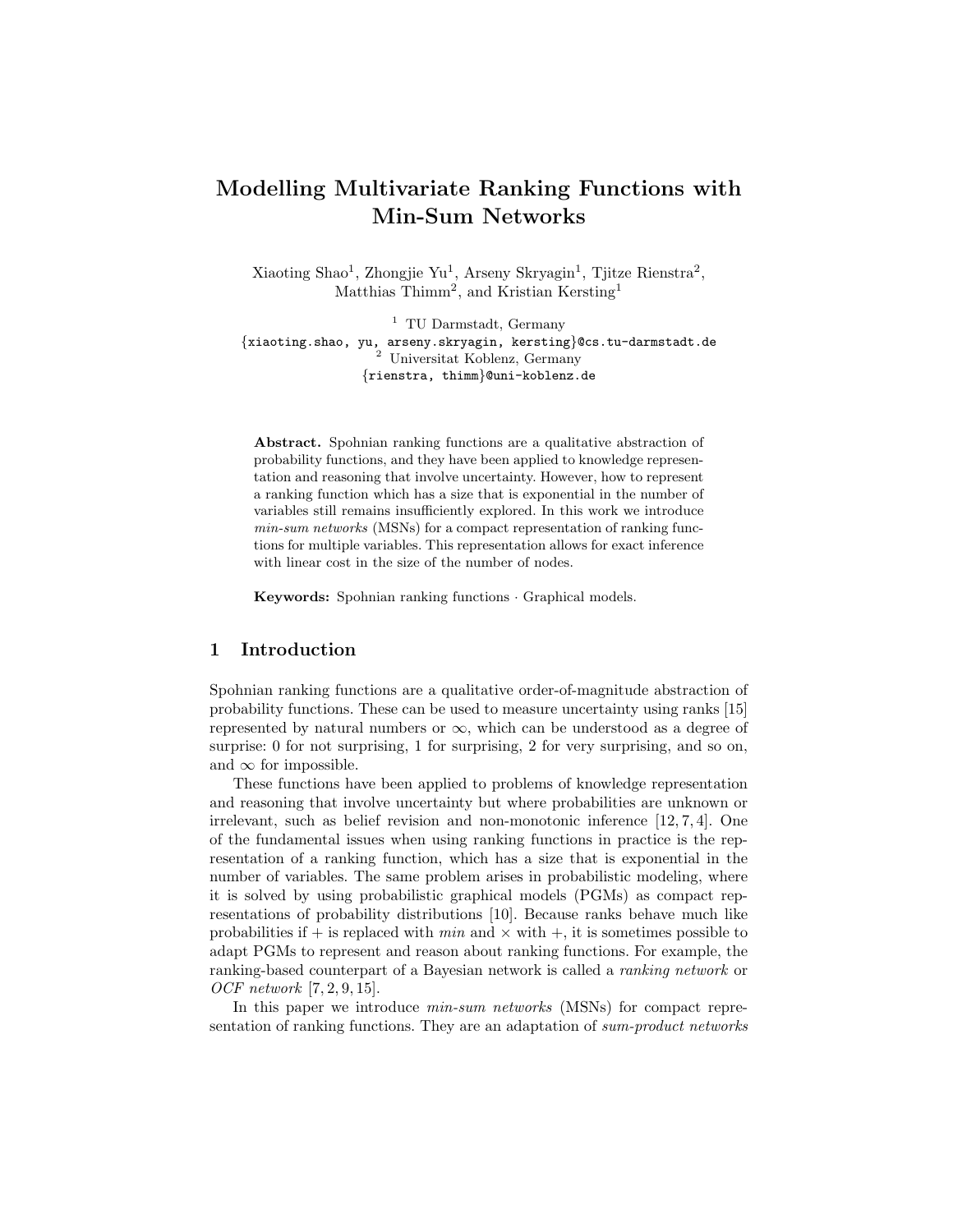# Modelling Multivariate Ranking Functions with Min-Sum Networks

Xiaoting Shao<sup>1</sup>, Zhongjie Yu<sup>1</sup>, Arseny Skryagin<sup>1</sup>, Tjitze Rienstra<sup>2</sup>, Matthias Thimm<sup>2</sup>, and Kristian Kersting<sup>1</sup>

<sup>1</sup> TU Darmstadt, Germany {xiaoting.shao, yu, arseny.skryagin, kersting}@cs.tu-darmstadt.de <sup>2</sup> Universitat Koblenz, Germany {rienstra, thimm}@uni-koblenz.de

Abstract. Spohnian ranking functions are a qualitative abstraction of probability functions, and they have been applied to knowledge representation and reasoning that involve uncertainty. However, how to represent a ranking function which has a size that is exponential in the number of variables still remains insufficiently explored. In this work we introduce min-sum networks (MSNs) for a compact representation of ranking functions for multiple variables. This representation allows for exact inference with linear cost in the size of the number of nodes.

Keywords: Spohnian ranking functions · Graphical models.

## 1 Introduction

Spohnian ranking functions are a qualitative order-of-magnitude abstraction of probability functions. These can be used to measure uncertainty using ranks [15] represented by natural numbers or  $\infty$ , which can be understood as a degree of surprise: 0 for not surprising, 1 for surprising, 2 for very surprising, and so on, and  $\infty$  for impossible.

These functions have been applied to problems of knowledge representation and reasoning that involve uncertainty but where probabilities are unknown or irrelevant, such as belief revision and non-monotonic inference [12, 7, 4]. One of the fundamental issues when using ranking functions in practice is the representation of a ranking function, which has a size that is exponential in the number of variables. The same problem arises in probabilistic modeling, where it is solved by using probabilistic graphical models (PGMs) as compact representations of probability distributions [10]. Because ranks behave much like probabilities if  $+$  is replaced with  $min$  and  $\times$  with  $+,$  it is sometimes possible to adapt PGMs to represent and reason about ranking functions. For example, the ranking-based counterpart of a Bayesian network is called a ranking network or OCF network [7, 2, 9, 15].

In this paper we introduce *min-sum networks* (MSNs) for compact representation of ranking functions. They are an adaptation of sum-product networks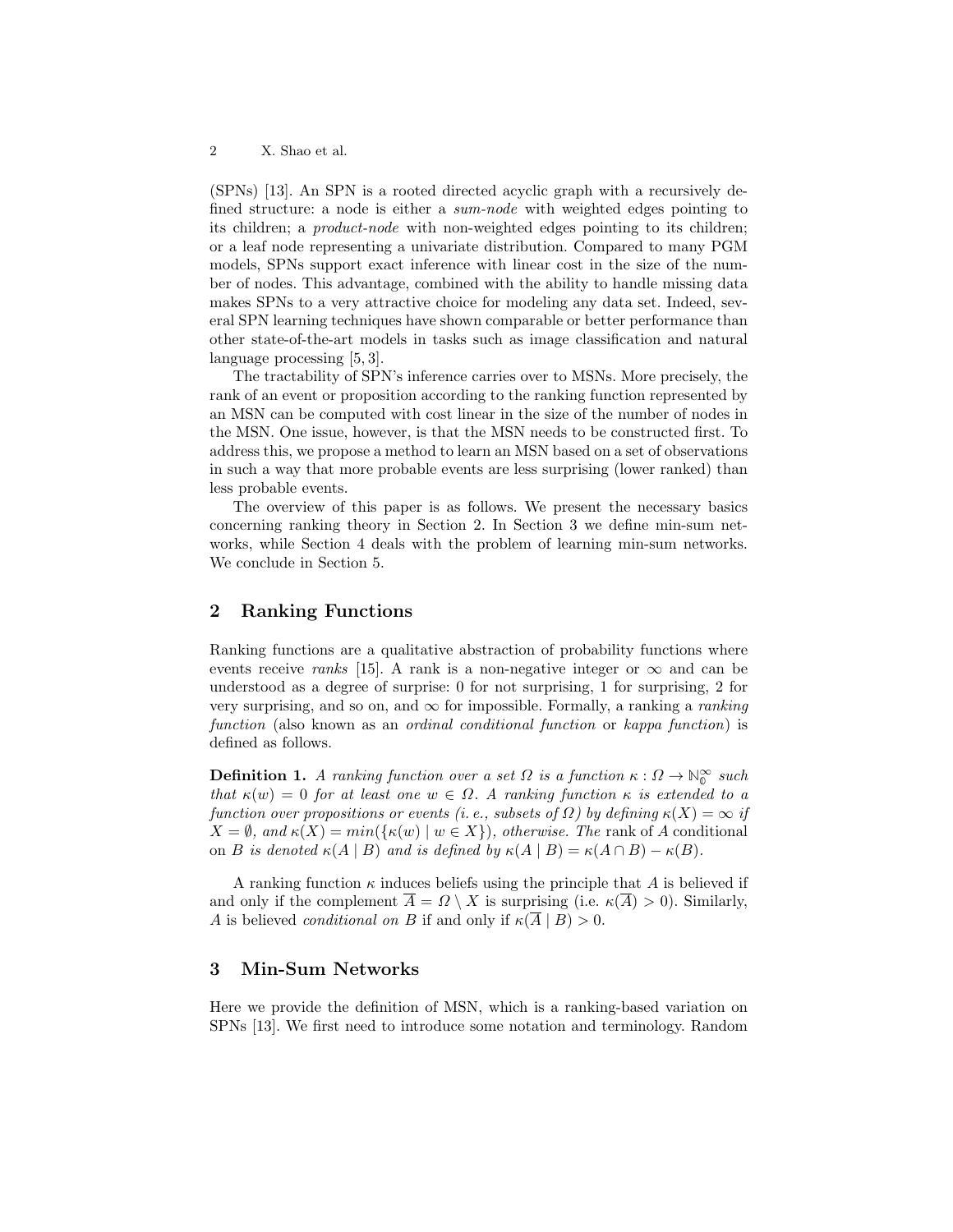(SPNs) [13]. An SPN is a rooted directed acyclic graph with a recursively defined structure: a node is either a sum-node with weighted edges pointing to its children; a product-node with non-weighted edges pointing to its children; or a leaf node representing a univariate distribution. Compared to many PGM models, SPNs support exact inference with linear cost in the size of the number of nodes. This advantage, combined with the ability to handle missing data makes SPNs to a very attractive choice for modeling any data set. Indeed, several SPN learning techniques have shown comparable or better performance than other state-of-the-art models in tasks such as image classification and natural language processing [5, 3].

The tractability of SPN's inference carries over to MSNs. More precisely, the rank of an event or proposition according to the ranking function represented by an MSN can be computed with cost linear in the size of the number of nodes in the MSN. One issue, however, is that the MSN needs to be constructed first. To address this, we propose a method to learn an MSN based on a set of observations in such a way that more probable events are less surprising (lower ranked) than less probable events.

The overview of this paper is as follows. We present the necessary basics concerning ranking theory in Section 2. In Section 3 we define min-sum networks, while Section 4 deals with the problem of learning min-sum networks. We conclude in Section 5.

## 2 Ranking Functions

Ranking functions are a qualitative abstraction of probability functions where events receive ranks [15]. A rank is a non-negative integer or  $\infty$  and can be understood as a degree of surprise: 0 for not surprising, 1 for surprising, 2 for very surprising, and so on, and  $\infty$  for impossible. Formally, a ranking a *ranking* function (also known as an *ordinal conditional function* or *kappa function*) is defined as follows.

**Definition 1.** A ranking function over a set  $\Omega$  is a function  $\kappa : \Omega \to \mathbb{N}_0^\infty$  such that  $\kappa(w) = 0$  for at least one  $w \in \Omega$ . A ranking function  $\kappa$  is extended to a function over propositions or events (i. e., subsets of  $\Omega$ ) by defining  $\kappa(X) = \infty$  if  $X = \emptyset$ , and  $\kappa(X) = min(\{\kappa(w) \mid w \in X\})$ , otherwise. The rank of A conditional on B is denoted  $\kappa(A \mid B)$  and is defined by  $\kappa(A \mid B) = \kappa(A \cap B) - \kappa(B)$ .

A ranking function  $\kappa$  induces beliefs using the principle that A is believed if and only if the complement  $\overline{A} = \Omega \setminus X$  is surprising (i.e.  $\kappa(\overline{A}) > 0$ ). Similarly, A is believed *conditional on B* if and only if  $\kappa(\overline{A} \mid B) > 0$ .

## 3 Min-Sum Networks

Here we provide the definition of MSN, which is a ranking-based variation on SPNs [13]. We first need to introduce some notation and terminology. Random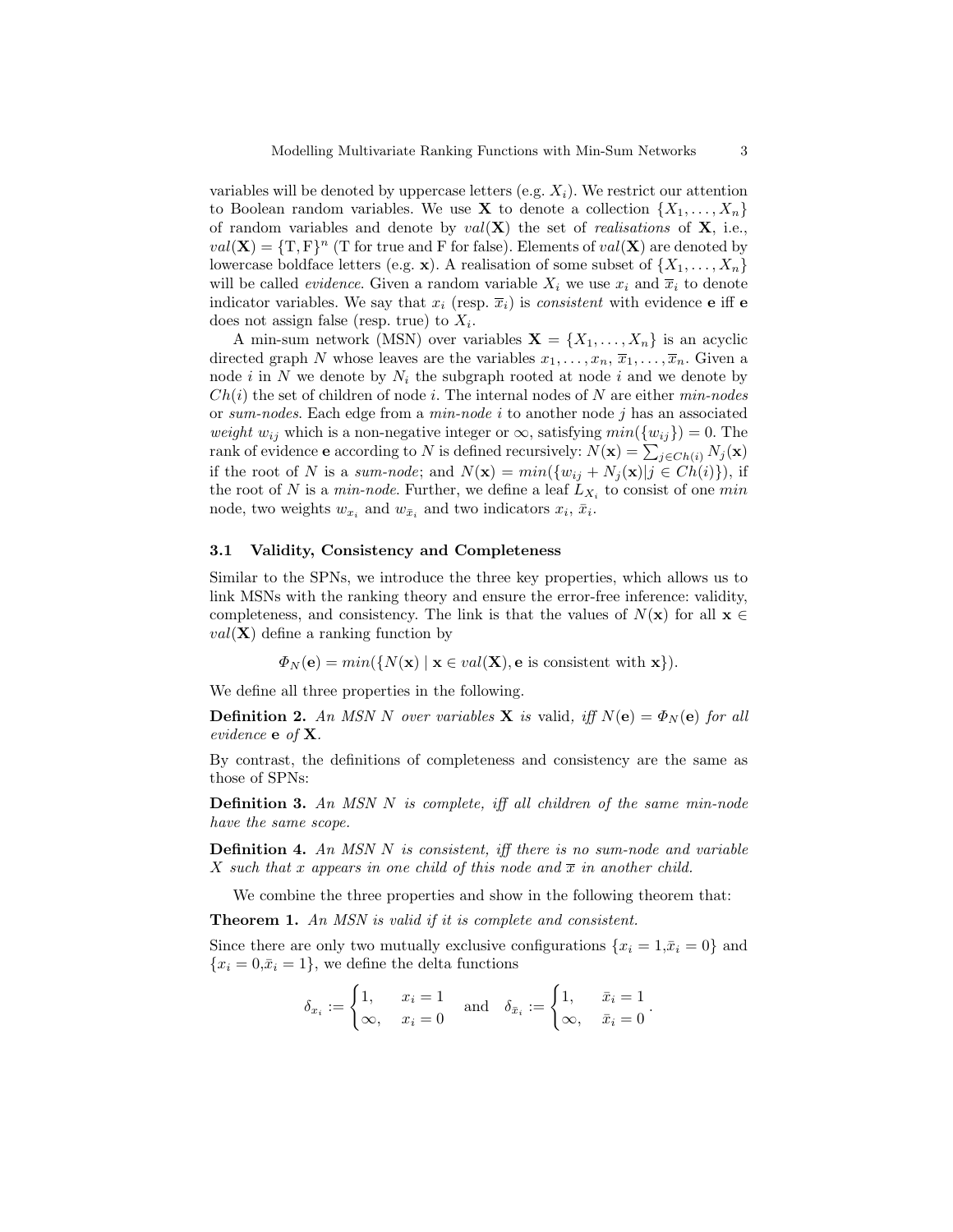variables will be denoted by uppercase letters (e.g.  $X_i$ ). We restrict our attention to Boolean random variables. We use **X** to denote a collection  $\{X_1, \ldots, X_n\}$ of random variables and denote by  $val(X)$  the set of *realisations* of  $X$ , i.e.,  $val(\mathbf{X}) = {\text{T}, \text{F}}^n$  (T for true and F for false). Elements of  $val(\mathbf{X})$  are denoted by lowercase boldface letters (e.g. x). A realisation of some subset of  $\{X_1, \ldots, X_n\}$ will be called *evidence*. Given a random variable  $X_i$  we use  $x_i$  and  $\overline{x}_i$  to denote indicator variables. We say that  $x_i$  (resp.  $\overline{x}_i$ ) is *consistent* with evidence **e** iff **e** does not assign false (resp. true) to  $X_i$ .

A min-sum network (MSN) over variables  $\mathbf{X} = \{X_1, \ldots, X_n\}$  is an acyclic directed graph N whose leaves are the variables  $x_1, \ldots, x_n, \overline{x}_1, \ldots, \overline{x}_n$ . Given a node i in N we denote by  $N_i$  the subgraph rooted at node i and we denote by  $Ch(i)$  the set of children of node i. The internal nodes of N are either  $min-nodes$ or sum-nodes. Each edge from a min-node i to another node j has an associated weight  $w_{ij}$  which is a non-negative integer or  $\infty$ , satisfying  $min({w_{ij}}) = 0$ . The rank of evidence e according to N is defined recursively:  $N(\mathbf{x}) = \sum_{j \in Ch(i)} N_j(\mathbf{x})$ if the root of N is a sum-node; and  $N(\mathbf{x}) = min(\{w_{ij} + N_j(\mathbf{x}) | j \in Ch(i)\})$ , if the root of N is a *min-node*. Further, we define a leaf  $L_{X_i}$  to consist of one min node, two weights  $w_{x_i}$  and  $w_{\bar{x}_i}$  and two indicators  $x_i$ ,  $\bar{x}_i$ .

### 3.1 Validity, Consistency and Completeness

Similar to the SPNs, we introduce the three key properties, which allows us to link MSNs with the ranking theory and ensure the error-free inference: validity, completeness, and consistency. The link is that the values of  $N(\mathbf{x})$  for all  $\mathbf{x} \in \mathbb{R}$  $val(\mathbf{X})$  define a ranking function by

 $\Phi_N(\mathbf{e}) = min(\{N(\mathbf{x}) \mid \mathbf{x} \in val(\mathbf{X}), \mathbf{e} \text{ is consistent with } \mathbf{x}\}).$ 

We define all three properties in the following.

**Definition 2.** An MSN N over variables **X** is valid, iff  $N(e) = \Phi_N(e)$  for all evidence e of X.

By contrast, the definitions of completeness and consistency are the same as those of SPNs:

Definition 3. An MSN N is complete, iff all children of the same min-node have the same scope.

**Definition 4.** An MSN N is consistent, iff there is no sum-node and variable X such that x appears in one child of this node and  $\overline{x}$  in another child.

We combine the three properties and show in the following theorem that:

Theorem 1. An MSN is valid if it is complete and consistent.

Since there are only two mutually exclusive configurations  $\{x_i = 1, \bar{x}_i = 0\}$  and  ${x_i = 0, \bar{x}_i = 1}$ , we define the delta functions

$$
\delta_{x_i} := \begin{cases} 1, & x_i = 1 \\ \infty, & x_i = 0 \end{cases} \text{ and } \delta_{\bar{x}_i} := \begin{cases} 1, & \bar{x}_i = 1 \\ \infty, & \bar{x}_i = 0 \end{cases}.
$$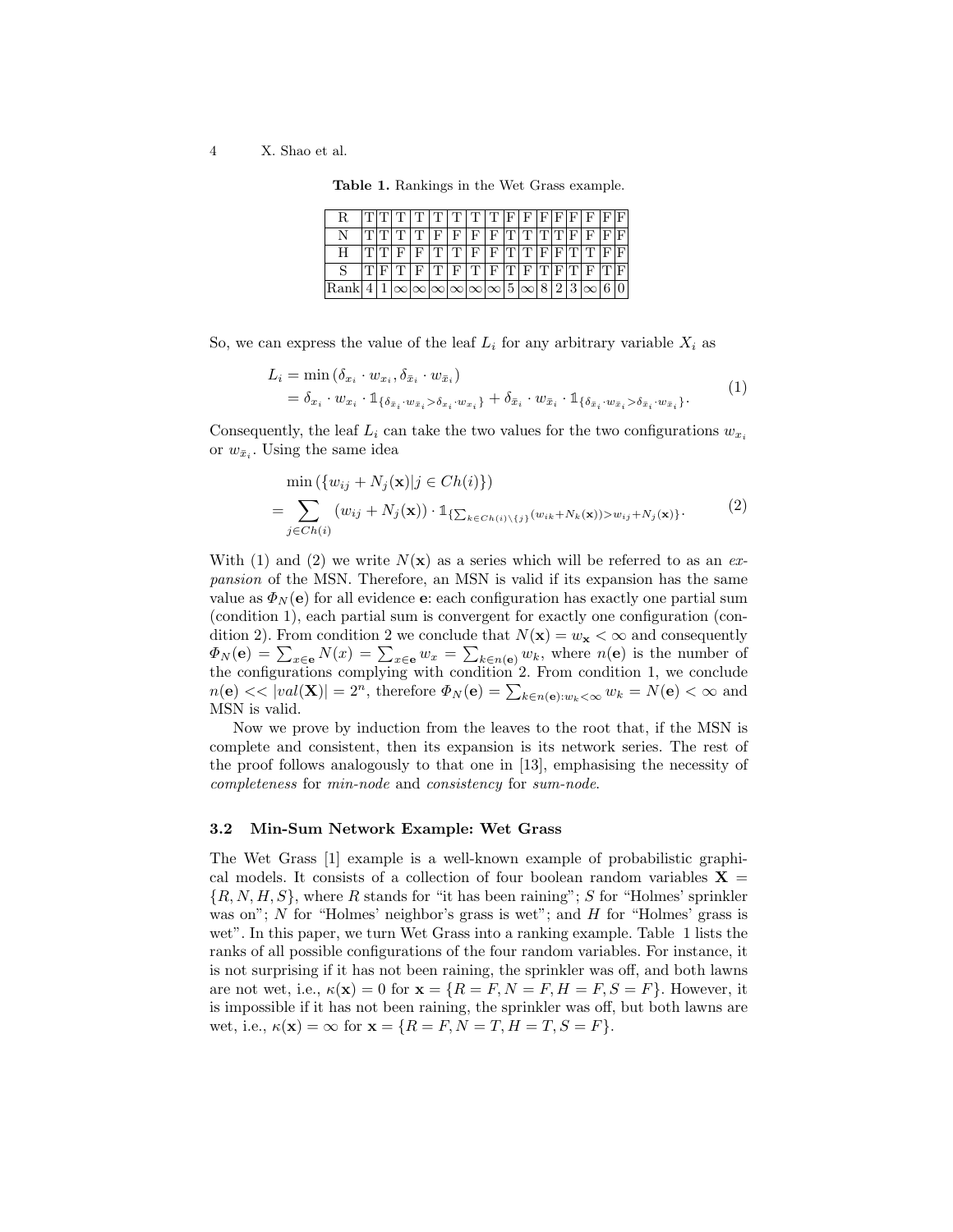#### 4 X. Shao et al.

| Table 1. Rankings in the Wet Grass example. |  |  |  |  |  |
|---------------------------------------------|--|--|--|--|--|
|---------------------------------------------|--|--|--|--|--|

| R.   |              |          | $\left  \mathrm{T} \right  \mathrm{T} \left  \mathrm{T} \right  \mathrm{T} \left  \mathrm{T} \right  \mathrm{T} \left  \mathrm{T} \right  \mathrm{F} \left  \mathrm{F} \right  \mathrm{F} \left  \mathrm{F} \right  \mathrm{F} \left  \mathrm{F} \right  \mathrm{F}$ |             |                |  |               |  |                      |  |
|------|--------------|----------|----------------------------------------------------------------------------------------------------------------------------------------------------------------------------------------------------------------------------------------------------------------------|-------------|----------------|--|---------------|--|----------------------|--|
|      |              | ידורוידי | l F.                                                                                                                                                                                                                                                                 | $'$ F $\pm$ | F.             |  | F[T]T[T]F     |  | $_{\rm F}$           |  |
|      | $ \text{T} $ |          | F[T T]                                                                                                                                                                                                                                                               |             | F <sub>1</sub> |  | F[T]T[F]T[T]T |  |                      |  |
|      |              |          | ר ק ק ד ק ח ק ח                                                                                                                                                                                                                                                      |             |                |  |               |  | $F[T] F[T] F[T] F[T$ |  |
| Rank |              |          | $1 \infty \infty \infty \infty \infty 5 \infty 8 2 3 \infty $                                                                                                                                                                                                        |             |                |  |               |  |                      |  |

So, we can express the value of the leaf  $L_i$  for any arbitrary variable  $X_i$  as

$$
L_i = \min (\delta_{x_i} \cdot w_{x_i}, \delta_{\bar{x}_i} \cdot w_{\bar{x}_i})
$$
  
=  $\delta_{x_i} \cdot w_{x_i} \cdot \mathbb{1}_{\{\delta_{\bar{x}_i} \cdot w_{\bar{x}_i} > \delta_{x_i} \cdot w_{x_i}\}} + \delta_{\bar{x}_i} \cdot w_{\bar{x}_i} \cdot \mathbb{1}_{\{\delta_{\bar{x}_i} \cdot w_{\bar{x}_i} > \delta_{\bar{x}_i} \cdot w_{\bar{x}_i}\}}.$  (1)

Consequently, the leaf  $L_i$  can take the two values for the two configurations  $w_{x_i}$ or  $w_{\bar{x}_i}$ . Using the same idea

$$
\min\left(\{w_{ij} + N_j(\mathbf{x})|j \in Ch(i)\}\right)
$$
\n
$$
= \sum_{j \in Ch(i)} (w_{ij} + N_j(\mathbf{x})) \cdot \mathbb{1}_{\{\sum_{k \in Ch(i)\backslash\{j\}} (w_{ik} + N_k(\mathbf{x})) > w_{ij} + N_j(\mathbf{x})\}}.
$$
\n(2)

With (1) and (2) we write  $N(\mathbf{x})$  as a series which will be referred to as an expansion of the MSN. Therefore, an MSN is valid if its expansion has the same value as  $\Phi_N(e)$  for all evidence e: each configuration has exactly one partial sum (condition 1), each partial sum is convergent for exactly one configuration (condition 2). From condition 2 we conclude that  $N(\mathbf{x}) = w_{\mathbf{x}} < \infty$  and consequently  $\Phi_N(\mathbf{e}) = \sum_{x \in \mathbf{e}} N(x) = \sum_{x \in \mathbf{e}} w_x = \sum_{k \in n(\mathbf{e})} w_k$ , where  $n(\mathbf{e})$  is the number of the configurations complying with condition 2. From condition 1, we conclude  $n(\mathbf{e}) \ll |val(\mathbf{X})| = 2^n$ , therefore  $\Phi_N(\mathbf{e}) = \sum_{k \in n(\mathbf{e}): w_k < \infty} w_k = N(\mathbf{e}) < \infty$  and MSN is valid.

Now we prove by induction from the leaves to the root that, if the MSN is complete and consistent, then its expansion is its network series. The rest of the proof follows analogously to that one in [13], emphasising the necessity of completeness for min-node and consistency for sum-node.

#### 3.2 Min-Sum Network Example: Wet Grass

The Wet Grass [1] example is a well-known example of probabilistic graphical models. It consists of a collection of four boolean random variables  $X =$  ${R, N, H, S}$ , where R stands for "it has been raining"; S for "Holmes' sprinkler was on"; N for "Holmes' neighbor's grass is wet"; and H for "Holmes' grass is wet". In this paper, we turn Wet Grass into a ranking example. Table 1 lists the ranks of all possible configurations of the four random variables. For instance, it is not surprising if it has not been raining, the sprinkler was off, and both lawns are not wet, i.e.,  $\kappa(\mathbf{x}) = 0$  for  $\mathbf{x} = \{R = F, N = F, H = F, S = F\}$ . However, it is impossible if it has not been raining, the sprinkler was off, but both lawns are wet, i.e.,  $\kappa(\mathbf{x}) = \infty$  for  $\mathbf{x} = \{R = F, N = T, H = T, S = F\}.$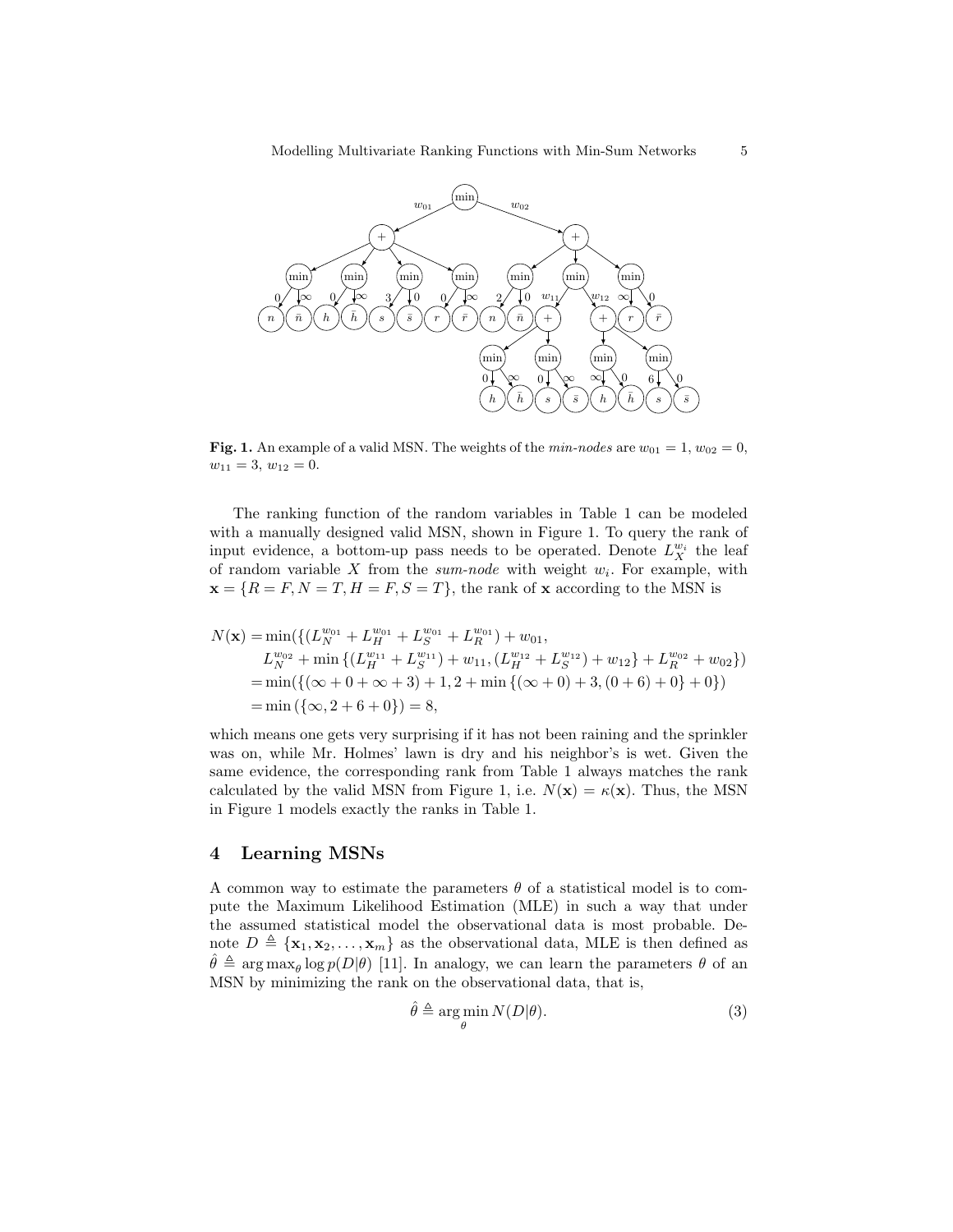

Fig. 1. An example of a valid MSN. The weights of the  $min-nodes$  are  $w_{01} = 1, w_{02} = 0,$  $w_{11} = 3, w_{12} = 0.$ 

The ranking function of the random variables in Table 1 can be modeled with a manually designed valid MSN, shown in Figure 1. To query the rank of input evidence, a bottom-up pass needs to be operated. Denote  $L_X^{w_i}$  the leaf of random variable X from the sum-node with weight  $w_i$ . For example, with  $\mathbf{x} = \{R = F, N = T, H = F, S = T\}$ , the rank of x according to the MSN is

$$
N(\mathbf{x}) = \min(\{(L_{N}^{w_{01}} + L_{H}^{w_{01}} + L_{S}^{w_{01}} + L_{R}^{w_{01}}) + w_{01},
$$
  
\n
$$
L_{N}^{w_{02}} + \min\{(L_{H}^{w_{11}} + L_{S}^{w_{11}}) + w_{11}, (L_{H}^{w_{12}} + L_{S}^{w_{12}}) + w_{12}\} + L_{R}^{w_{02}} + w_{02}\})
$$
  
\n
$$
= \min(\{(\infty + 0 + \infty + 3) + 1, 2 + \min\{(\infty + 0) + 3, (0 + 6) + 0\} + 0\})
$$
  
\n
$$
= \min(\{\infty, 2 + 6 + 0\}) = 8,
$$

which means one gets very surprising if it has not been raining and the sprinkler was on, while Mr. Holmes' lawn is dry and his neighbor's is wet. Given the same evidence, the corresponding rank from Table 1 always matches the rank calculated by the valid MSN from Figure 1, i.e.  $N(\mathbf{x}) = \kappa(\mathbf{x})$ . Thus, the MSN in Figure 1 models exactly the ranks in Table 1.

## 4 Learning MSNs

A common way to estimate the parameters  $\theta$  of a statistical model is to compute the Maximum Likelihood Estimation (MLE) in such a way that under the assumed statistical model the observational data is most probable. Denote  $D \triangleq {\mathbf{x}_1, \mathbf{x}_2, ..., \mathbf{x}_m}$  as the observational data, MLE is then defined as  $\hat{\theta} \triangleq \arg \max_{\theta} \log p(D|\theta)$  [11]. In analogy, we can learn the parameters  $\theta$  of an MSN by minimizing the rank on the observational data, that is,

$$
\hat{\theta} \triangleq \underset{\theta}{\arg\min} N(D|\theta). \tag{3}
$$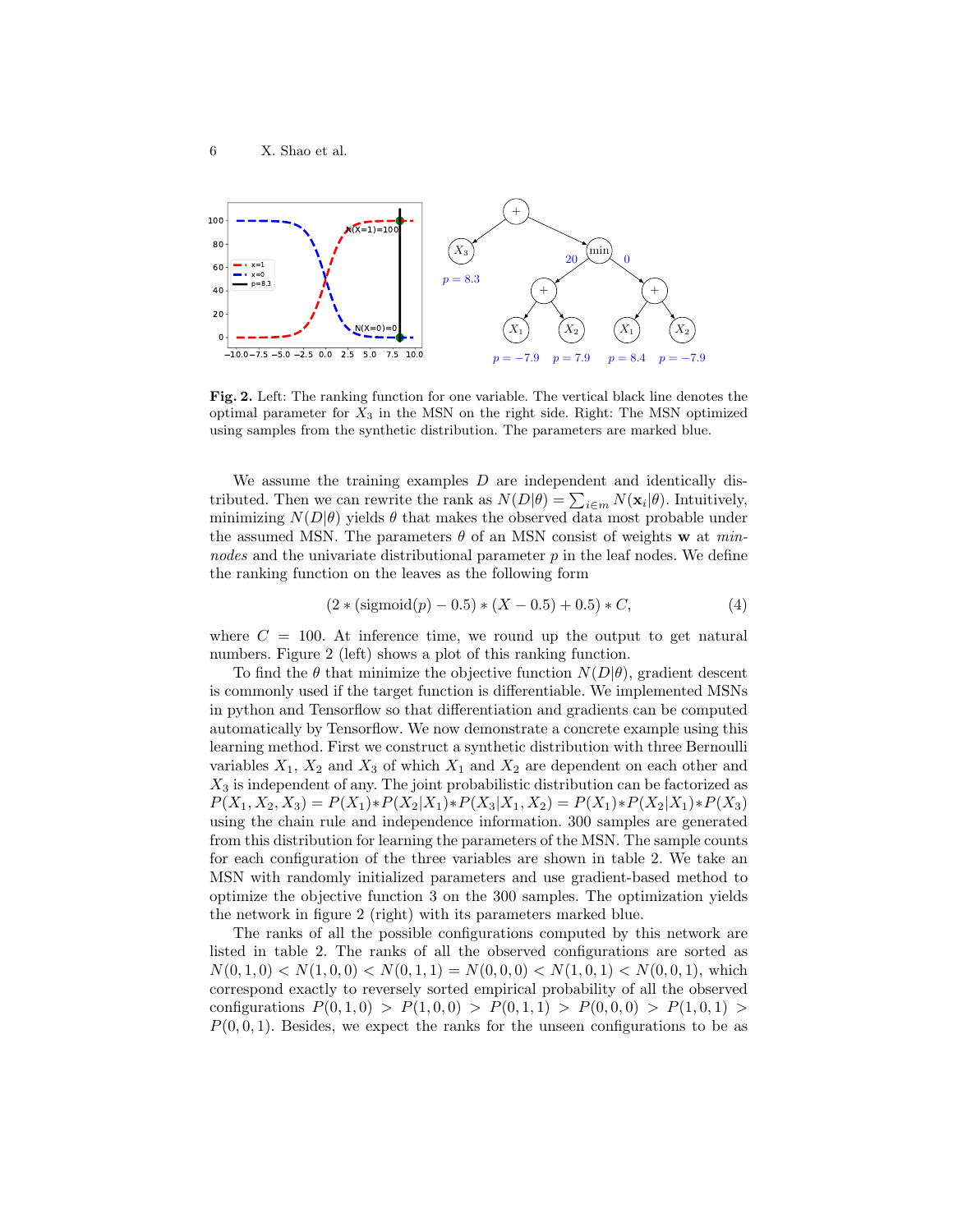

Fig. 2. Left: The ranking function for one variable. The vertical black line denotes the optimal parameter for  $X_3$  in the MSN on the right side. Right: The MSN optimized using samples from the synthetic distribution. The parameters are marked blue.

We assume the training examples  $D$  are independent and identically distributed. Then we can rewrite the rank as  $N(D|\theta) = \sum_{i \in m} N(\mathbf{x}_i|\theta)$ . Intuitively, minimizing  $N(D|\theta)$  yields  $\theta$  that makes the observed data most probable under the assumed MSN. The parameters  $\theta$  of an MSN consist of weights w at minnodes and the univariate distributional parameter  $p$  in the leaf nodes. We define the ranking function on the leaves as the following form

$$
(2 * (sigmoid(p) - 0.5) * (X – 0.5) + 0.5) * C,
$$
\n(4)

where  $C = 100$ . At inference time, we round up the output to get natural numbers. Figure 2 (left) shows a plot of this ranking function.

To find the  $\theta$  that minimize the objective function  $N(D|\theta)$ , gradient descent is commonly used if the target function is differentiable. We implemented MSNs in python and Tensorflow so that differentiation and gradients can be computed automatically by Tensorflow. We now demonstrate a concrete example using this learning method. First we construct a synthetic distribution with three Bernoulli variables  $X_1, X_2$  and  $X_3$  of which  $X_1$  and  $X_2$  are dependent on each other and  $X_3$  is independent of any. The joint probabilistic distribution can be factorized as  $P(X_1, X_2, X_3) = P(X_1) * P(X_2|X_1) * P(X_3|X_1, X_2) = P(X_1) * P(X_2|X_1) * P(X_3)$ using the chain rule and independence information. 300 samples are generated from this distribution for learning the parameters of the MSN. The sample counts for each configuration of the three variables are shown in table 2. We take an MSN with randomly initialized parameters and use gradient-based method to optimize the objective function 3 on the 300 samples. The optimization yields the network in figure 2 (right) with its parameters marked blue.

The ranks of all the possible configurations computed by this network are listed in table 2. The ranks of all the observed configurations are sorted as  $N(0, 1, 0) < N(1, 0, 0) < N(0, 1, 1) = N(0, 0, 0) < N(1, 0, 1) < N(0, 0, 1)$ , which correspond exactly to reversely sorted empirical probability of all the observed configurations  $P(0, 1, 0) > P(1, 0, 0) > P(0, 1, 1) > P(0, 0, 0) > P(1, 0, 1) >$  $P(0, 0, 1)$ . Besides, we expect the ranks for the unseen configurations to be as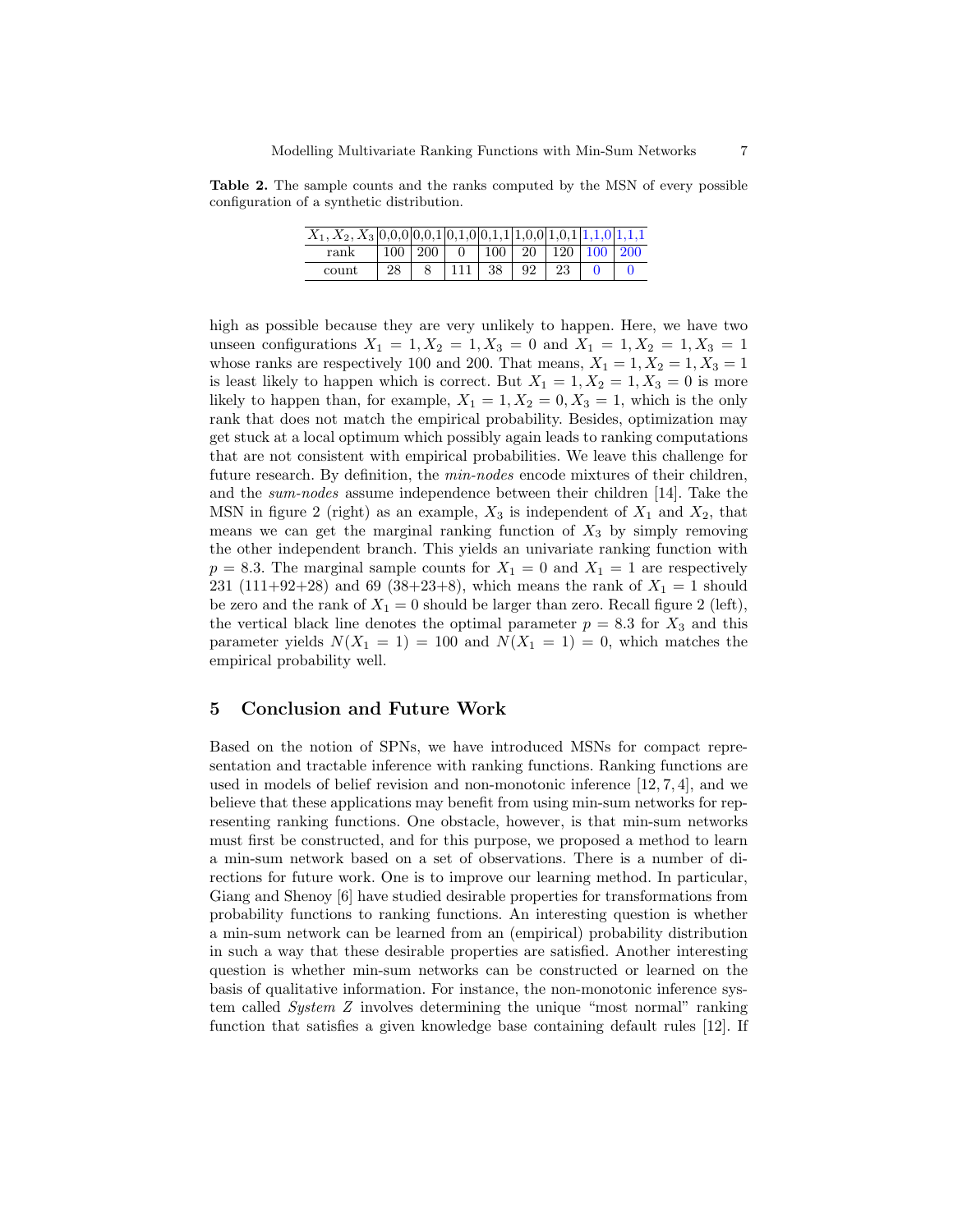Table 2. The sample counts and the ranks computed by the MSN of every possible configuration of a synthetic distribution.

| $X_1, X_2, X_3   0, 0, 0   0, 0, 1   0, 1, 0   0, 1, 1   1, 0, 0   1, 0, 1   1, 1, 0   1, 1, 1$ |    |                     |          |               |    |                 |                |  |
|-------------------------------------------------------------------------------------------------|----|---------------------|----------|---------------|----|-----------------|----------------|--|
| rank                                                                                            |    | $100 \mid 200 \mid$ | $\Omega$ | $. + 100 + 1$ | 20 | $\pm 120 \pm 1$ | $100 \mid 200$ |  |
| count                                                                                           | 28 |                     |          | 38            |    | 23              |                |  |

high as possible because they are very unlikely to happen. Here, we have two unseen configurations  $X_1 = 1, X_2 = 1, X_3 = 0$  and  $X_1 = 1, X_2 = 1, X_3 = 1$ whose ranks are respectively 100 and 200. That means,  $X_1 = 1, X_2 = 1, X_3 = 1$ is least likely to happen which is correct. But  $X_1 = 1, X_2 = 1, X_3 = 0$  is more likely to happen than, for example,  $X_1 = 1, X_2 = 0, X_3 = 1$ , which is the only rank that does not match the empirical probability. Besides, optimization may get stuck at a local optimum which possibly again leads to ranking computations that are not consistent with empirical probabilities. We leave this challenge for future research. By definition, the *min-nodes* encode mixtures of their children, and the sum-nodes assume independence between their children [14]. Take the MSN in figure 2 (right) as an example,  $X_3$  is independent of  $X_1$  and  $X_2$ , that means we can get the marginal ranking function of  $X_3$  by simply removing the other independent branch. This yields an univariate ranking function with  $p = 8.3$ . The marginal sample counts for  $X_1 = 0$  and  $X_1 = 1$  are respectively 231 (111+92+28) and 69 (38+23+8), which means the rank of  $X_1 = 1$  should be zero and the rank of  $X_1 = 0$  should be larger than zero. Recall figure 2 (left), the vertical black line denotes the optimal parameter  $p = 8.3$  for  $X_3$  and this parameter yields  $N(X_1 = 1) = 100$  and  $N(X_1 = 1) = 0$ , which matches the empirical probability well.

## 5 Conclusion and Future Work

Based on the notion of SPNs, we have introduced MSNs for compact representation and tractable inference with ranking functions. Ranking functions are used in models of belief revision and non-monotonic inference  $[12, 7, 4]$ , and we believe that these applications may benefit from using min-sum networks for representing ranking functions. One obstacle, however, is that min-sum networks must first be constructed, and for this purpose, we proposed a method to learn a min-sum network based on a set of observations. There is a number of directions for future work. One is to improve our learning method. In particular, Giang and Shenoy [6] have studied desirable properties for transformations from probability functions to ranking functions. An interesting question is whether a min-sum network can be learned from an (empirical) probability distribution in such a way that these desirable properties are satisfied. Another interesting question is whether min-sum networks can be constructed or learned on the basis of qualitative information. For instance, the non-monotonic inference system called System Z involves determining the unique "most normal" ranking function that satisfies a given knowledge base containing default rules [12]. If